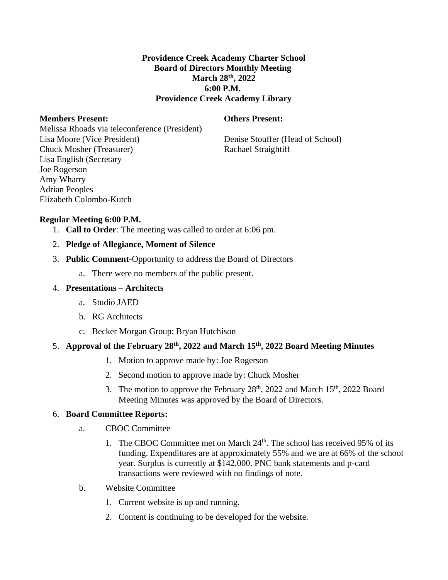## **Providence Creek Academy Charter School Board of Directors Monthly Meeting March 28th, 2022 6:00 P.M. Providence Creek Academy Library**

### **Members Present: Others Present:**

Melissa Rhoads via teleconference (President) Lisa Moore (Vice President) Denise Stouffer (Head of School) Chuck Mosher (Treasurer) Rachael Straightiff Lisa English (Secretary Joe Rogerson Amy Wharry Adrian Peoples Elizabeth Colombo-Kutch

# **Regular Meeting 6:00 P.M.**

- 1. **Call to Order**: The meeting was called to order at 6:06 pm.
- 2. **Pledge of Allegiance, Moment of Silence**
- 3. **Public Comment**-Opportunity to address the Board of Directors
	- a. There were no members of the public present.

### 4. **Presentations – Architects**

- a. Studio JAED
- b. RG Architects
- c. Becker Morgan Group: Bryan Hutchison

### 5. **Approval of the February 28th, 2022 and March 15th, 2022 Board Meeting Minutes**

- 1. Motion to approve made by: Joe Rogerson
- 2. Second motion to approve made by: Chuck Mosher
- 3. The motion to approve the February  $28<sup>th</sup>$ ,  $2022$  and March  $15<sup>th</sup>$ ,  $2022$  Board Meeting Minutes was approved by the Board of Directors.

### 6. **Board Committee Reports:**

- a. CBOC Committee
	- 1. The CBOC Committee met on March  $24<sup>th</sup>$ . The school has received 95% of its funding. Expenditures are at approximately 55% and we are at 66% of the school year. Surplus is currently at \$142,000. PNC bank statements and p-card transactions were reviewed with no findings of note.
- b. Website Committee
	- 1. Current website is up and running.
	- 2. Content is continuing to be developed for the website.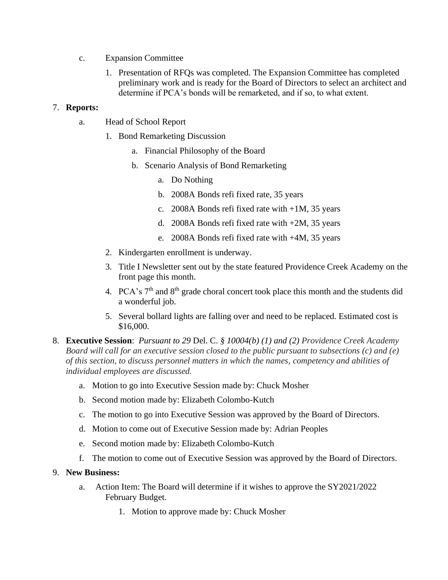- c. Expansion Committee
	- 1. Presentation of RFQs was completed. The Expansion Committee has completed preliminary work and is ready for the Board of Directors to select an architect and determine if PCA's bonds will be remarketed, and if so, to what extent.

## 7. **Reports:**

- a. Head of School Report
	- 1. Bond Remarketing Discussion
		- a. Financial Philosophy of the Board
		- b. Scenario Analysis of Bond Remarketing
			- a. Do Nothing
			- b. 2008A Bonds refi fixed rate, 35 years
			- c. 2008A Bonds refi fixed rate with +1M, 35 years
			- d. 2008A Bonds refi fixed rate with +2M, 35 years
			- e. 2008A Bonds refi fixed rate with +4M, 35 years
	- 2. Kindergarten enrollment is underway.
	- 3. Title I Newsletter sent out by the state featured Providence Creek Academy on the front page this month.
	- 4. PCA's  $7<sup>th</sup>$  and  $8<sup>th</sup>$  grade choral concert took place this month and the students did a wonderful job.
	- 5. Several bollard lights are falling over and need to be replaced. Estimated cost is \$16,000.
- 8. **Executive Session**: *Pursuant to 29* Del. C. *§ 10004(b) (1) and (2) Providence Creek Academy Board will call for an executive session closed to the public pursuant to subsections (c) and (e) of this section, to discuss personnel matters in which the names, competency and abilities of individual employees are discussed.*
	- a. Motion to go into Executive Session made by: Chuck Mosher
	- b. Second motion made by: Elizabeth Colombo-Kutch
	- c. The motion to go into Executive Session was approved by the Board of Directors.
	- d. Motion to come out of Executive Session made by: Adrian Peoples
	- e. Second motion made by: Elizabeth Colombo-Kutch
	- f. The motion to come out of Executive Session was approved by the Board of Directors.

### 9. **New Business:**

- a. Action Item: The Board will determine if it wishes to approve the SY2021/2022 February Budget.
	- 1. Motion to approve made by: Chuck Mosher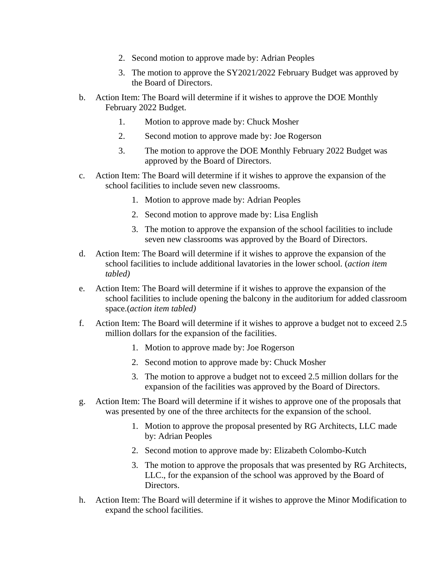- 2. Second motion to approve made by: Adrian Peoples
- 3. The motion to approve the SY2021/2022 February Budget was approved by the Board of Directors.
- b. Action Item: The Board will determine if it wishes to approve the DOE Monthly February 2022 Budget.
	- 1. Motion to approve made by: Chuck Mosher
	- 2. Second motion to approve made by: Joe Rogerson
	- 3. The motion to approve the DOE Monthly February 2022 Budget was approved by the Board of Directors.
- c. Action Item: The Board will determine if it wishes to approve the expansion of the school facilities to include seven new classrooms.
	- 1. Motion to approve made by: Adrian Peoples
	- 2. Second motion to approve made by: Lisa English
	- 3. The motion to approve the expansion of the school facilities to include seven new classrooms was approved by the Board of Directors.
- d. Action Item: The Board will determine if it wishes to approve the expansion of the school facilities to include additional lavatories in the lower school. (*action item tabled)*
- e. Action Item: The Board will determine if it wishes to approve the expansion of the school facilities to include opening the balcony in the auditorium for added classroom space.(*action item tabled)*
- f. Action Item: The Board will determine if it wishes to approve a budget not to exceed 2.5 million dollars for the expansion of the facilities.
	- 1. Motion to approve made by: Joe Rogerson
	- 2. Second motion to approve made by: Chuck Mosher
	- 3. The motion to approve a budget not to exceed 2.5 million dollars for the expansion of the facilities was approved by the Board of Directors.
- g. Action Item: The Board will determine if it wishes to approve one of the proposals that was presented by one of the three architects for the expansion of the school.
	- 1. Motion to approve the proposal presented by RG Architects, LLC made by: Adrian Peoples
	- 2. Second motion to approve made by: Elizabeth Colombo-Kutch
	- 3. The motion to approve the proposals that was presented by RG Architects, LLC., for the expansion of the school was approved by the Board of Directors.
- h. Action Item: The Board will determine if it wishes to approve the Minor Modification to expand the school facilities.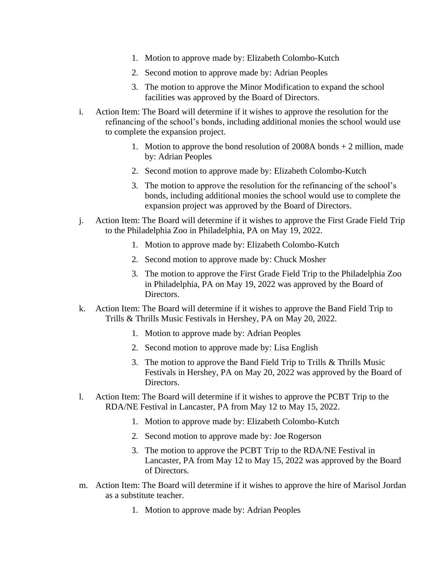- 1. Motion to approve made by: Elizabeth Colombo-Kutch
- 2. Second motion to approve made by: Adrian Peoples
- 3. The motion to approve the Minor Modification to expand the school facilities was approved by the Board of Directors.
- i. Action Item: The Board will determine if it wishes to approve the resolution for the refinancing of the school's bonds, including additional monies the school would use to complete the expansion project.
	- 1. Motion to approve the bond resolution of 2008A bonds + 2 million, made by: Adrian Peoples
	- 2. Second motion to approve made by: Elizabeth Colombo-Kutch
	- 3. The motion to approve the resolution for the refinancing of the school's bonds, including additional monies the school would use to complete the expansion project was approved by the Board of Directors.
- j. Action Item: The Board will determine if it wishes to approve the First Grade Field Trip to the Philadelphia Zoo in Philadelphia, PA on May 19, 2022.
	- 1. Motion to approve made by: Elizabeth Colombo-Kutch
	- 2. Second motion to approve made by: Chuck Mosher
	- 3. The motion to approve the First Grade Field Trip to the Philadelphia Zoo in Philadelphia, PA on May 19, 2022 was approved by the Board of Directors.
- k. Action Item: The Board will determine if it wishes to approve the Band Field Trip to Trills & Thrills Music Festivals in Hershey, PA on May 20, 2022.
	- 1. Motion to approve made by: Adrian Peoples
	- 2. Second motion to approve made by: Lisa English
	- 3. The motion to approve the Band Field Trip to Trills & Thrills Music Festivals in Hershey, PA on May 20, 2022 was approved by the Board of Directors.
- l. Action Item: The Board will determine if it wishes to approve the PCBT Trip to the RDA/NE Festival in Lancaster, PA from May 12 to May 15, 2022.
	- 1. Motion to approve made by: Elizabeth Colombo-Kutch
	- 2. Second motion to approve made by: Joe Rogerson
	- 3. The motion to approve the PCBT Trip to the RDA/NE Festival in Lancaster, PA from May 12 to May 15, 2022 was approved by the Board of Directors.
- m. Action Item: The Board will determine if it wishes to approve the hire of Marisol Jordan as a substitute teacher.
	- 1. Motion to approve made by: Adrian Peoples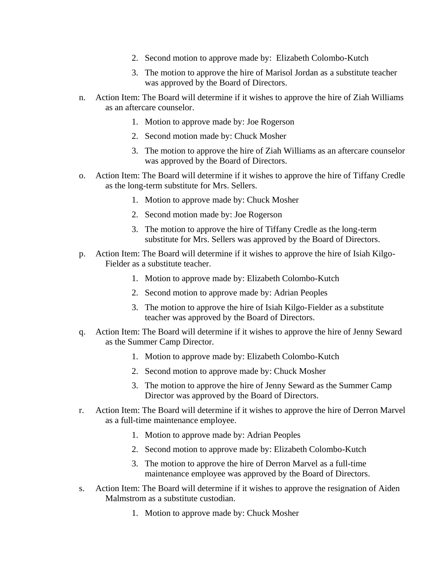- 2. Second motion to approve made by: Elizabeth Colombo-Kutch
- 3. The motion to approve the hire of Marisol Jordan as a substitute teacher was approved by the Board of Directors.
- n. Action Item: The Board will determine if it wishes to approve the hire of Ziah Williams as an aftercare counselor.
	- 1. Motion to approve made by: Joe Rogerson
	- 2. Second motion made by: Chuck Mosher
	- 3. The motion to approve the hire of Ziah Williams as an aftercare counselor was approved by the Board of Directors.
- o. Action Item: The Board will determine if it wishes to approve the hire of Tiffany Credle as the long-term substitute for Mrs. Sellers.
	- 1. Motion to approve made by: Chuck Mosher
	- 2. Second motion made by: Joe Rogerson
	- 3. The motion to approve the hire of Tiffany Credle as the long-term substitute for Mrs. Sellers was approved by the Board of Directors.
- p. Action Item: The Board will determine if it wishes to approve the hire of Isiah Kilgo-Fielder as a substitute teacher.
	- 1. Motion to approve made by: Elizabeth Colombo-Kutch
	- 2. Second motion to approve made by: Adrian Peoples
	- 3. The motion to approve the hire of Isiah Kilgo-Fielder as a substitute teacher was approved by the Board of Directors.
- q. Action Item: The Board will determine if it wishes to approve the hire of Jenny Seward as the Summer Camp Director.
	- 1. Motion to approve made by: Elizabeth Colombo-Kutch
	- 2. Second motion to approve made by: Chuck Mosher
	- 3. The motion to approve the hire of Jenny Seward as the Summer Camp Director was approved by the Board of Directors.
- r. Action Item: The Board will determine if it wishes to approve the hire of Derron Marvel as a full-time maintenance employee.
	- 1. Motion to approve made by: Adrian Peoples
	- 2. Second motion to approve made by: Elizabeth Colombo-Kutch
	- 3. The motion to approve the hire of Derron Marvel as a full-time maintenance employee was approved by the Board of Directors.
- s. Action Item: The Board will determine if it wishes to approve the resignation of Aiden Malmstrom as a substitute custodian.
	- 1. Motion to approve made by: Chuck Mosher